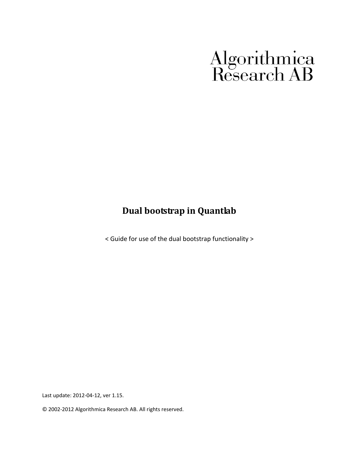# Algorithmica<br>Research AB

## **Dual bootstrap in Quantlab**

< Guide for use of the dual bootstrap functionality >

Last update: 2012-04-12, ver 1.15.

© 2002-2012 Algorithmica Research AB. All rights reserved.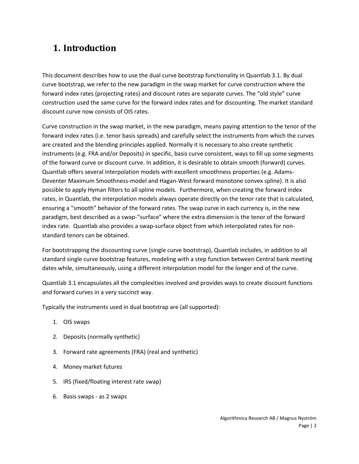## **1. Introduction**

This document describes how to use the dual curve bootstrap functionality in Quantlab 3.1. By dual curve bootstrap, we refer to the new paradigm in the swap market for curve construction where the forward index rates (projecting rates) and discount rates are separate curves. The "old style" curve construction used the same curve for the forward index rates and for discounting. The market standard discount curve now consists of OIS rates.

Curve construction in the swap market, in the new paradigm, means paying attention to the tenor of the forward index rates (i.e. tenor basis spreads) and carefully select the instruments from which the curves are created and the blending principles applied. Normally it is necessary to also create synthetic instruments (e.g. FRA and/or Deposits) in specific, basis curve consistent, ways to fill up some segments of the forward curve or discount curve. In addition, it is desirable to obtain smooth (forward) curves. Quantlab offers several interpolation models with excellent smoothness properties (e.g. Adams-Deventer Maximum Smoothness-model and Hagan-West forward monotone convex spline). It is also possible to apply Hyman filters to all spline models. Furthermore, when creating the forward index rates, in Quantlab, the interpolation models always operate directly on the tenor rate that is calculated, ensuring a "smooth" behavior of the forward rates. The swap curve in each currency is, in the new paradigm, best described as a swap-"surface" where the extra dimension is the tenor of the forward index rate. Quantlab also provides a swap-surface object from which interpolated rates for nonstandard tenors can be obtained.

For bootstrapping the discounting curve (single curve bootstrap), Quantlab includes, in addition to all standard single curve bootstrap features, modeling with a step function between Central bank meeting dates while, simultaneously, using a different interpolation model for the longer end of the curve.

Quantlab 3.1 encapsulates all the complexities involved and provides ways to create discount functions and forward curves in a very succinct way.

Typically the instruments used in dual bootstrap are (all supported):

- 1. OIS swaps
- 2. Deposits (normally synthetic)
- 3. Forward rate agreements (FRA) (real and synthetic)
- 4. Money market futures
- 5. IRS (fixed/floating interest rate swap)
- 6. Basis swaps as 2 swaps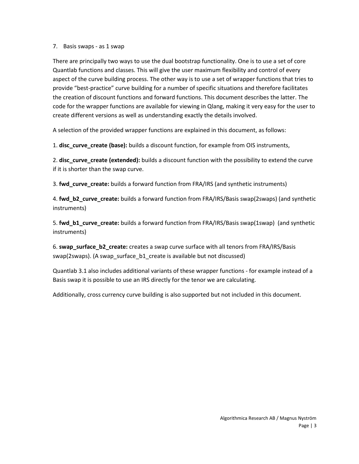#### 7. Basis swaps - as 1 swap

There are principally two ways to use the dual bootstrap functionality. One is to use a set of core Quantlab functions and classes. This will give the user maximum flexibility and control of every aspect of the curve building process. The other way is to use a set of wrapper functions that tries to provide "best-practice" curve building for a number of specific situations and therefore facilitates the creation of discount functions and forward functions. This document describes the latter. The code for the wrapper functions are available for viewing in Qlang, making it very easy for the user to create different versions as well as understanding exactly the details involved.

A selection of the provided wrapper functions are explained in this document, as follows:

1. **disc\_curve\_create (base):** builds a discount function, for example from OIS instruments,

2. **disc\_curve\_create (extended):** builds a discount function with the possibility to extend the curve if it is shorter than the swap curve.

3. **fwd\_curve\_create:** builds a forward function from FRA/IRS (and synthetic instruments)

4. **fwd\_b2\_curve\_create:** builds a forward function from FRA/IRS/Basis swap(2swaps) (and synthetic instruments)

5. **fwd\_b1\_curve\_create:** builds a forward function from FRA/IRS/Basis swap(1swap) (and synthetic instruments)

6. **swap\_surface\_b2\_create:** creates a swap curve surface with all tenors from FRA/IRS/Basis swap(2swaps). (A swap\_surface\_b1\_create is available but not discussed)

Quantlab 3.1 also includes additional variants of these wrapper functions - for example instead of a Basis swap it is possible to use an IRS directly for the tenor we are calculating.

Additionally, cross currency curve building is also supported but not included in this document.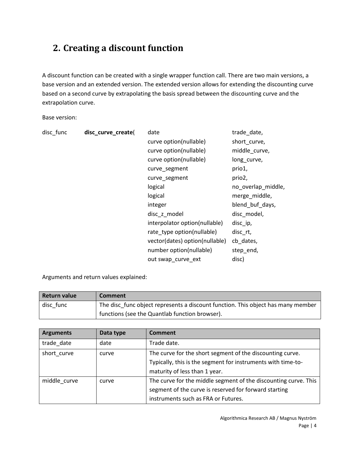## **2. Creating a discount function**

A discount function can be created with a single wrapper function call. There are two main versions, a base version and an extended version. The extended version allows for extending the discounting curve based on a second curve by extrapolating the basis spread between the discounting curve and the extrapolation curve.

Base version:

| disc_func | disc_curve_create( | date                           | trade_date,        |
|-----------|--------------------|--------------------------------|--------------------|
|           |                    | curve option(nullable)         | short curve,       |
|           |                    | curve option(nullable)         | middle_curve,      |
|           |                    | curve option(nullable)         | long_curve,        |
|           |                    | curve_segment                  | prio1,             |
|           |                    | curve_segment                  | prio2,             |
|           |                    | logical                        | no_overlap_middle, |
|           |                    | logical                        | merge_middle,      |
|           |                    | integer                        | blend_buf_days,    |
|           |                    | disc z model                   | disc model,        |
|           |                    | interpolator option(nullable)  | disc ip,           |
|           |                    | rate_type option(nullable)     | disc rt,           |
|           |                    | vector(dates) option(nullable) | cb dates,          |
|           |                    | number option(nullable)        | step_end,          |
|           |                    | out swap curve ext             | disc)              |

Arguments and return values explained:

| Return value | Comment                                                                          |
|--------------|----------------------------------------------------------------------------------|
| disc func    | The disc func object represents a discount function. This object has many member |
|              | functions (see the Quantlab function browser).                                   |

| <b>Arguments</b> | Data type | Comment                                                                                                                                                         |
|------------------|-----------|-----------------------------------------------------------------------------------------------------------------------------------------------------------------|
| trade_date       | date      | Trade date.                                                                                                                                                     |
| short curve      | curve     | The curve for the short segment of the discounting curve.<br>Typically, this is the segment for instruments with time-to-<br>maturity of less than 1 year.      |
| middle curve     | curve     | The curve for the middle segment of the discounting curve. This<br>segment of the curve is reserved for forward starting<br>instruments such as FRA or Futures. |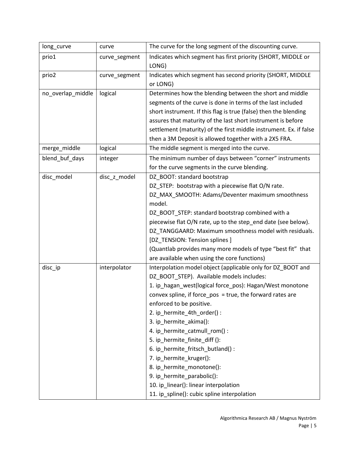| long_curve        | curve         | The curve for the long segment of the discounting curve.               |
|-------------------|---------------|------------------------------------------------------------------------|
| prio1             | curve_segment | Indicates which segment has first priority (SHORT, MIDDLE or<br>LONG)  |
| prio2             | curve_segment | Indicates which segment has second priority (SHORT, MIDDLE<br>or LONG) |
| no_overlap_middle | logical       | Determines how the blending between the short and middle               |
|                   |               | segments of the curve is done in terms of the last included            |
|                   |               | short instrument. If this flag is true (false) then the blending       |
|                   |               | assures that maturity of the last short instrument is before           |
|                   |               | settlement (maturity) of the first middle instrument. Ex. if false     |
|                   |               | then a 3M Deposit is allowed together with a 2X5 FRA.                  |
| merge_middle      | logical       | The middle segment is merged into the curve.                           |
| blend buf days    | integer       | The minimum number of days between "corner" instruments                |
|                   |               | for the curve segments in the curve blending.                          |
| disc_model        | disc z model  | DZ BOOT: standard bootstrap                                            |
|                   |               | DZ_STEP: bootstrap with a piecewise flat O/N rate.                     |
|                   |               | DZ_MAX_SMOOTH: Adams/Deventer maximum smoothness                       |
|                   |               | model.                                                                 |
|                   |               | DZ_BOOT_STEP: standard bootstrap combined with a                       |
|                   |               | piecewise flat O/N rate, up to the step_end date (see below).          |
|                   |               | DZ_TANGGAARD: Maximum smoothness model with residuals.                 |
|                   |               | [DZ_TENSION: Tension splines]                                          |
|                   |               | (Quantlab provides many more models of type "best fit" that            |
|                   |               | are available when using the core functions)                           |
| disc_ip           | interpolator  | Interpolation model object (applicable only for DZ_BOOT and            |
|                   |               | DZ_BOOT_STEP). Available models includes:                              |
|                   |               | 1. ip_hagan_west(logical force_pos): Hagan/West monotone               |
|                   |               | convex spline, if force_pos = true, the forward rates are              |
|                   |               | enforced to be positive.                                               |
|                   |               | 2. ip_hermite_4th_order():                                             |
|                   |               | 3. ip_hermite_akima():                                                 |
|                   |               | 4. ip_hermite_catmull_rom():                                           |
|                   |               | 5. ip_hermite_finite_diff ():                                          |
|                   |               | 6. ip_hermite_fritsch_butland():                                       |
|                   |               | 7. ip hermite kruger():                                                |
|                   |               | 8. ip_hermite_monotone():                                              |
|                   |               | 9. ip_hermite_parabolic():                                             |
|                   |               | 10. ip_linear(): linear interpolation                                  |
|                   |               | 11. ip_spline(): cubic spline interpolation                            |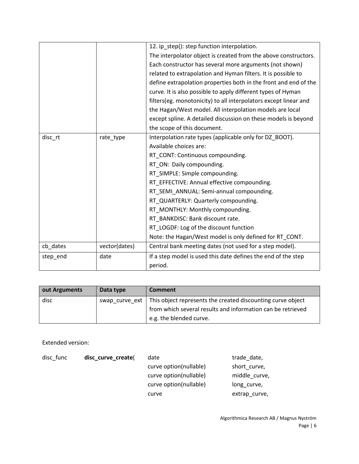|          |               | 12. ip_step(): step function interpolation.                      |  |
|----------|---------------|------------------------------------------------------------------|--|
|          |               | The interpolator object is created from the above constructors.  |  |
|          |               | Each constructor has several more arguments (not shown)          |  |
|          |               | related to extrapolation and Hyman filters. It is possible to    |  |
|          |               | define extrapolation properties both in the front and end of the |  |
|          |               | curve. It is also possible to apply different types of Hyman     |  |
|          |               | filters(eg. monotonicity) to all interpolators except linear and |  |
|          |               | the Hagan/West model. All interpolation models are local         |  |
|          |               | except spline. A detailed discussion on these models is beyond   |  |
|          |               | the scope of this document.                                      |  |
| disc_rt  | rate_type     | Interpolation rate types (applicable only for DZ_BOOT).          |  |
|          |               | Available choices are:                                           |  |
|          |               | RT CONT: Continuous compounding.                                 |  |
|          |               | RT_ON: Daily compounding.                                        |  |
|          |               | RT_SIMPLE: Simple compounding.                                   |  |
|          |               | RT_EFFECTIVE: Annual effective compounding.                      |  |
|          |               | RT SEMI ANNUAL: Semi-annual compounding.                         |  |
|          |               | RT_QUARTERLY: Quarterly compounding.                             |  |
|          |               | RT MONTHLY: Monthly compounding.                                 |  |
|          |               | RT_BANKDISC: Bank discount rate.                                 |  |
|          |               | RT_LOGDF: Log of the discount function                           |  |
|          |               | Note: the Hagan/West model is only defined for RT CONT.          |  |
| cb_dates | vector(dates) | Central bank meeting dates (not used for a step model).          |  |
| step_end | date          | If a step model is used this date defines the end of the step    |  |
|          |               | period.                                                          |  |

| out Arguments | Data type | <b>Comment</b>                                                               |
|---------------|-----------|------------------------------------------------------------------------------|
| disc          |           | swap curve ext   This object represents the created discounting curve object |
|               |           | from which several results and information can be retrieved                  |
|               |           | e.g. the blended curve.                                                      |

Extended version:

| disc_curve_create( | date                   | trade date,   |
|--------------------|------------------------|---------------|
|                    | curve option(nullable) | short curve,  |
|                    | curve option(nullable) | middle curve, |
|                    | curve option(nullable) | long curve,   |
|                    | curve                  | extrap curve, |
|                    |                        |               |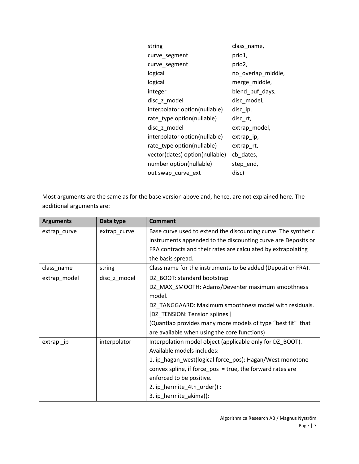| string                         | class_name,        |
|--------------------------------|--------------------|
| curve_segment                  | prio1,             |
| curve_segment                  | prio2,             |
| logical                        | no_overlap_middle, |
| logical                        | merge_middle,      |
| integer                        | blend_buf_days,    |
| disc_z_model                   | disc model,        |
| interpolator option(nullable)  | disc_ip,           |
| rate_type option(nullable)     | disc_rt,           |
| disc_z_model                   | extrap_model,      |
| interpolator option(nullable)  | extrap_ip,         |
| rate_type option(nullable)     | extrap_rt,         |
| vector(dates) option(nullable) | cb dates,          |
| number option(nullable)        | step_end,          |
| out swap_curve_ext             | disc)              |

Most arguments are the same as for the base version above and, hence, are not explained here. The additional arguments are:

| <b>Arguments</b> | Data type    | <b>Comment</b>                                                 |
|------------------|--------------|----------------------------------------------------------------|
| extrap_curve     | extrap_curve | Base curve used to extend the discounting curve. The synthetic |
|                  |              | instruments appended to the discounting curve are Deposits or  |
|                  |              | FRA contracts and their rates are calculated by extrapolating  |
|                  |              | the basis spread.                                              |
| class_name       | string       | Class name for the instruments to be added (Deposit or FRA).   |
| extrap_model     | disc_z_model | DZ_BOOT: standard bootstrap                                    |
|                  |              | DZ_MAX_SMOOTH: Adams/Deventer maximum smoothness               |
|                  |              | model.                                                         |
|                  |              | DZ TANGGAARD: Maximum smoothness model with residuals.         |
|                  |              | [DZ_TENSION: Tension splines]                                  |
|                  |              | (Quantlab provides many more models of type "best fit" that    |
|                  |              | are available when using the core functions)                   |
| extrap _ip       | interpolator | Interpolation model object (applicable only for DZ_BOOT).      |
|                  |              | Available models includes:                                     |
|                  |              | 1. ip_hagan_west(logical force_pos): Hagan/West monotone       |
|                  |              | convex spline, if force $pos = true$ , the forward rates are   |
|                  |              | enforced to be positive.                                       |
|                  |              | 2. ip_hermite_4th_order():                                     |
|                  |              | 3. ip hermite akima():                                         |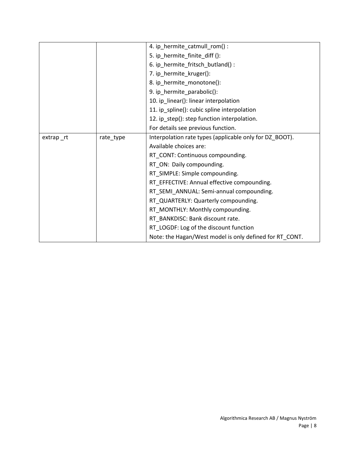|        |           | 4. ip_hermite_catmull_rom():                            |
|--------|-----------|---------------------------------------------------------|
|        |           | 5. ip_hermite_finite_diff ():                           |
|        |           | 6. ip_hermite_fritsch_butland():                        |
|        |           | 7. ip_hermite_kruger():                                 |
|        |           | 8. ip_hermite_monotone():                               |
|        |           | 9. ip_hermite_parabolic():                              |
|        |           | 10. ip_linear(): linear interpolation                   |
|        |           | 11. ip_spline(): cubic spline interpolation             |
|        |           | 12. ip_step(): step function interpolation.             |
|        |           | For details see previous function.                      |
| extrap | rate_type | Interpolation rate types (applicable only for DZ_BOOT). |
|        |           | Available choices are:                                  |
|        |           | RT_CONT: Continuous compounding.                        |
|        |           | RT_ON: Daily compounding.                               |
|        |           | RT_SIMPLE: Simple compounding.                          |
|        |           | RT_EFFECTIVE: Annual effective compounding.             |
|        |           | RT_SEMI_ANNUAL: Semi-annual compounding.                |
|        |           | RT_QUARTERLY: Quarterly compounding.                    |
|        |           | RT_MONTHLY: Monthly compounding.                        |
|        |           | RT BANKDISC: Bank discount rate.                        |
|        |           | RT_LOGDF: Log of the discount function                  |
|        |           | Note: the Hagan/West model is only defined for RT_CONT. |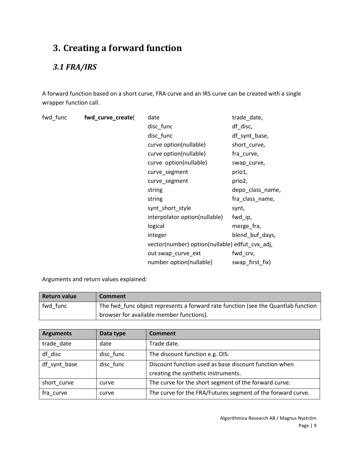## **3. Creating a forward function**

## *3.1 FRA/IRS*

A forward function based on a short curve, FRA curve and an IRS curve can be created with a single wrapper function call.

| fwd_func | fwd_curve_create( | date                                           | trade_date,      |
|----------|-------------------|------------------------------------------------|------------------|
|          |                   | disc_func                                      | df_disc,         |
|          |                   | disc_func                                      | df_synt_base,    |
|          |                   | curve option(nullable)                         | short_curve,     |
|          |                   | curve option(nullable)                         | fra_curve,       |
|          |                   | curve option(nullable)                         | swap_curve,      |
|          |                   | curve_segment                                  | prio1,           |
|          |                   | curve_segment                                  | prio2,           |
|          |                   | string                                         | depo_class_name, |
|          |                   | string                                         | fra_class_name,  |
|          |                   | synt_short_style                               | synt,            |
|          |                   | interpolator option(nullable)                  | fwd_ip,          |
|          |                   | logical                                        | merge fra,       |
|          |                   | integer                                        | blend_buf_days,  |
|          |                   | vector(number) option(nullable) edfut_cvx_adj, |                  |
|          |                   | out swap_curve_ext                             | fwd_crv,         |
|          |                   | number option(nullable)                        | swap_first_fix)  |

Arguments and return values explained:

| <b>Return value</b> | Comment                                                                           |
|---------------------|-----------------------------------------------------------------------------------|
| fwd func            | The fwd func object represents a forward rate function (see the Quantlab function |
|                     | browser for available member functions).                                          |

| <b>Arguments</b> | Data type | <b>Comment</b>                                              |  |
|------------------|-----------|-------------------------------------------------------------|--|
| trade date       | date      | Trade date.                                                 |  |
| df disc          | disc func | The discount function e.g. OIS.                             |  |
| df_synt_base     | disc func | Discount function used as base discount function when       |  |
|                  |           | creating the synthetic instruments.                         |  |
| short_curve      | curve     | The curve for the short segment of the forward curve.       |  |
| fra curve        | curve     | The curve for the FRA/Futures segment of the forward curve. |  |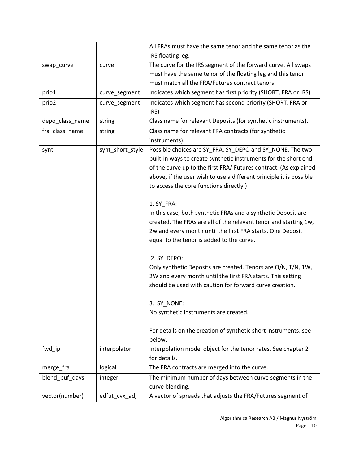|                 |                  | All FRAs must have the same tenor and the same tenor as the         |
|-----------------|------------------|---------------------------------------------------------------------|
|                 |                  | IRS floating leg.                                                   |
| swap_curve      | curve            | The curve for the IRS segment of the forward curve. All swaps       |
|                 |                  | must have the same tenor of the floating leg and this tenor         |
|                 |                  | must match all the FRA/Futures contract tenors.                     |
| prio1           | curve_segment    | Indicates which segment has first priority (SHORT, FRA or IRS)      |
| prio2           | curve_segment    | Indicates which segment has second priority (SHORT, FRA or<br>IRS)  |
| depo_class_name | string           | Class name for relevant Deposits (for synthetic instruments).       |
| fra_class_name  | string           | Class name for relevant FRA contracts (for synthetic                |
|                 |                  | instruments).                                                       |
| synt            | synt_short_style | Possible choices are SY_FRA, SY_DEPO and SY_NONE. The two           |
|                 |                  | built-in ways to create synthetic instruments for the short end     |
|                 |                  | of the curve up to the first FRA/ Futures contract. (As explained   |
|                 |                  | above, if the user wish to use a different principle it is possible |
|                 |                  | to access the core functions directly.)                             |
|                 |                  |                                                                     |
|                 |                  | 1. SY FRA:                                                          |
|                 |                  | In this case, both synthetic FRAs and a synthetic Deposit are       |
|                 |                  | created. The FRAs are all of the relevant tenor and starting 1w,    |
|                 |                  | 2w and every month until the first FRA starts. One Deposit          |
|                 |                  | equal to the tenor is added to the curve.                           |
|                 |                  |                                                                     |
|                 |                  | 2. SY_DEPO:                                                         |
|                 |                  | Only synthetic Deposits are created. Tenors are O/N, T/N, 1W,       |
|                 |                  | 2W and every month until the first FRA starts. This setting         |
|                 |                  | should be used with caution for forward curve creation.             |
|                 |                  |                                                                     |
|                 |                  | 3. SY NONE:                                                         |
|                 |                  | No synthetic instruments are created.                               |
|                 |                  |                                                                     |
|                 |                  | For details on the creation of synthetic short instruments, see     |
|                 |                  | below.                                                              |
| fwd_ip          | interpolator     | Interpolation model object for the tenor rates. See chapter 2       |
|                 |                  | for details.                                                        |
| merge_fra       | logical          | The FRA contracts are merged into the curve.                        |
| blend_buf_days  | integer          | The minimum number of days between curve segments in the            |
|                 |                  | curve blending.                                                     |
| vector(number)  | edfut_cvx_adj    | A vector of spreads that adjusts the FRA/Futures segment of         |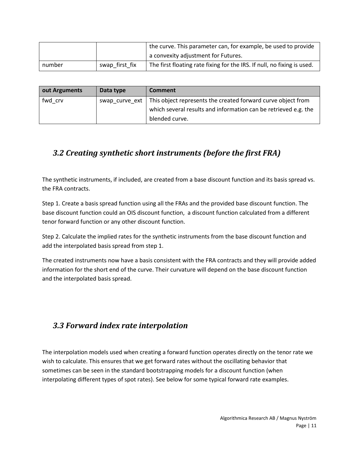|        |                | the curve. This parameter can, for example, be used to provide          |
|--------|----------------|-------------------------------------------------------------------------|
|        |                | a convexity adjustment for Futures.                                     |
| number | swap_first_fix | The first floating rate fixing for the IRS. If null, no fixing is used. |

| out Arguments | Data type | <b>Comment</b>                                                                |
|---------------|-----------|-------------------------------------------------------------------------------|
| fwd crv       |           | swap_curve_ext   This object represents the created forward curve object from |
|               |           | which several results and information can be retrieved e.g. the               |
|               |           | blended curve.                                                                |

#### *3.2 Creating synthetic short instruments (before the first FRA)*

The synthetic instruments, if included, are created from a base discount function and its basis spread vs. the FRA contracts.

Step 1. Create a basis spread function using all the FRAs and the provided base discount function. The base discount function could an OIS discount function, a discount function calculated from a different tenor forward function or any other discount function.

Step 2. Calculate the implied rates for the synthetic instruments from the base discount function and add the interpolated basis spread from step 1.

The created instruments now have a basis consistent with the FRA contracts and they will provide added information for the short end of the curve. Their curvature will depend on the base discount function and the interpolated basis spread.

#### *3.3 Forward index rate interpolation*

The interpolation models used when creating a forward function operates directly on the tenor rate we wish to calculate. This ensures that we get forward rates without the oscillating behavior that sometimes can be seen in the standard bootstrapping models for a discount function (when interpolating different types of spot rates). See below for some typical forward rate examples.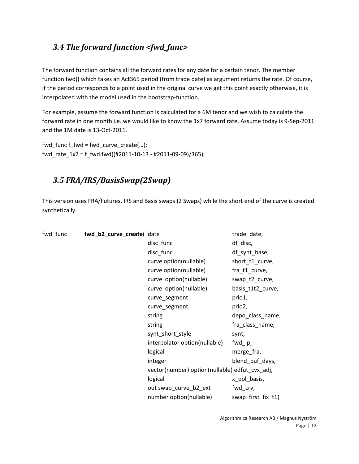#### *3.4 The forward function <fwd\_func>*

The forward function contains all the forward rates for any date for a certain tenor. The member function fwd() which takes an Act365 period (from trade date) as argument returns the rate. Of course, if the period corresponds to a point used in the original curve we get this point exactly otherwise, it is interpolated with the model used in the bootstrap-function.

For example, assume the forward function is calculated for a 6M tenor and we wish to calculate the forward rate in one month i.e. we would like to know the 1x7 forward rate. Assume today is 9-Sep-2011 and the 1M date is 13-Oct-2011.

fwd\_func  $f$ \_fwd = fwd\_curve\_create(...); fwd\_rate\_1x7 = f\_fwd.fwd((#2011-10-13 - #2011-09-09)/365);

#### *3.5 FRA/IRS/BasisSwap(2Swap)*

This version uses FRA/Futures, IRS and Basis swaps (2 Swaps) while the short end of the curve is created synthetically.

| fwd func | fwd_b2_curve_create( date |                                                | trade_date,        |
|----------|---------------------------|------------------------------------------------|--------------------|
|          |                           | disc_func                                      | df_disc,           |
|          |                           | disc_func                                      | df_synt_base,      |
|          |                           | curve option(nullable)                         | short_t1_curve,    |
|          |                           | curve option(nullable)                         | fra_t1_curve,      |
|          |                           | curve option(nullable)                         | swap_t2_curve,     |
|          |                           | curve option(nullable)                         | basis_t1t2_curve,  |
|          |                           | curve_segment                                  | prio1,             |
|          |                           | curve_segment                                  | prio2,             |
|          |                           | string                                         | depo_class_name,   |
|          |                           | string                                         | fra_class_name,    |
|          |                           | synt_short_style                               | synt,              |
|          |                           | interpolator option(nullable)                  | fwd_ip,            |
|          |                           | logical                                        | merge fra,         |
|          |                           | integer                                        | blend_buf_days,    |
|          |                           | vector(number) option(nullable) edfut_cvx_adj, |                    |
|          |                           | logical                                        | x_pol_basis,       |
|          |                           | out swap_curve_b2_ext                          | fwd_crv,           |
|          |                           | number option(nullable)                        | swap_first_fix_t1) |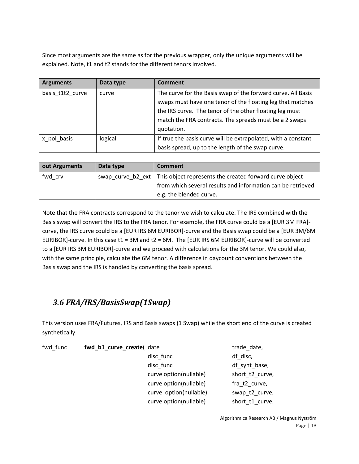Since most arguments are the same as for the previous wrapper, only the unique arguments will be explained. Note, t1 and t2 stands for the different tenors involved.

| <b>Arguments</b> | Data type | Comment                                                       |
|------------------|-----------|---------------------------------------------------------------|
| basis t1t2 curve | curve     | The curve for the Basis swap of the forward curve. All Basis  |
|                  |           | swaps must have one tenor of the floating leg that matches    |
|                  |           | the IRS curve. The tenor of the other floating leg must       |
|                  |           | match the FRA contracts. The spreads must be a 2 swaps        |
|                  |           | quotation.                                                    |
| x pol basis      | logical   | If true the basis curve will be extrapolated, with a constant |
|                  |           | basis spread, up to the length of the swap curve.             |

| out Arguments | Data type | <b>Comment</b>                                                              |
|---------------|-----------|-----------------------------------------------------------------------------|
| fwd crv       |           | swap_curve_b2_ext   This object represents the created forward curve object |
|               |           | from which several results and information can be retrieved                 |
|               |           | e.g. the blended curve.                                                     |

Note that the FRA contracts correspond to the tenor we wish to calculate. The IRS combined with the Basis swap will convert the IRS to the FRA tenor. For example, the FRA curve could be a [EUR 3M FRA] curve, the IRS curve could be a [EUR IRS 6M EURIBOR]-curve and the Basis swap could be a [EUR 3M/6M EURIBOR]-curve. In this case t1 = 3M and t2 = 6M. The [EUR IRS 6M EURIBOR]-curve will be converted to a [EUR IRS 3M EURIBOR]-curve and we proceed with calculations for the 3M tenor. We could also, with the same principle, calculate the 6M tenor. A difference in daycount conventions between the Basis swap and the IRS is handled by converting the basis spread.

### *3.6 FRA/IRS/BasisSwap(1Swap)*

This version uses FRA/Futures, IRS and Basis swaps (1 Swap) while the short end of the curve is created synthetically.

| fwd func | fwd_b1_curve_create( date |  |  |  |
|----------|---------------------------|--|--|--|
|----------|---------------------------|--|--|--|

disc\_func df\_disc, disc\_func disc\_func df\_synt\_base, curve option(nullable) short\_t2\_curve, curve option(nullable) fra\_t2\_curve, curve option(nullable) swap\_t2\_curve, curve option(nullable) short t1 curve,

trade date,

Algorithmica Research AB / Magnus Nyström Page | 13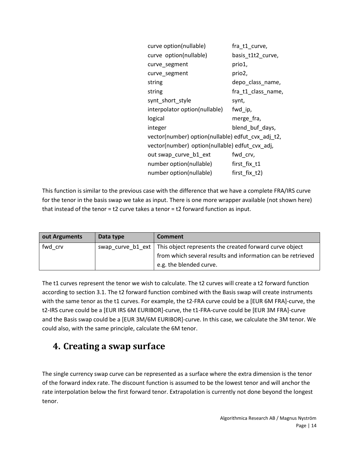| curve option(nullable)                            | fra_t1_curve,      |
|---------------------------------------------------|--------------------|
| curve option(nullable)                            | basis_t1t2_curve,  |
| curve_segment                                     | prio1,             |
| curve_segment                                     | prio2,             |
| string                                            | depo_class_name,   |
| string                                            | fra_t1_class_name, |
| synt_short_style                                  | synt,              |
| interpolator option(nullable)                     | fwd_ip,            |
| logical                                           | merge fra,         |
| integer                                           | blend_buf_days,    |
| vector(number) option(nullable) edfut_cvx_adj_t2, |                    |
| vector(number) option(nullable) edfut_cvx_adj,    |                    |
| out swap_curve_b1_ext                             | fwd_crv,           |
| number option(nullable)                           | first_fix_t1       |
| number option(nullable)                           | first fix t2)      |

This function is similar to the previous case with the difference that we have a complete FRA/IRS curve for the tenor in the basis swap we take as input. There is one more wrapper available (not shown here) that instead of the tenor = t2 curve takes a tenor = t2 forward function as input.

| out Arguments | Data type | Comment                                                                     |
|---------------|-----------|-----------------------------------------------------------------------------|
| fwd crv       |           | swap curve b1 ext   This object represents the created forward curve object |
|               |           | from which several results and information can be retrieved                 |
|               |           | e.g. the blended curve.                                                     |

The t1 curves represent the tenor we wish to calculate. The t2 curves will create a t2 forward function according to section 3.1. The t2 forward function combined with the Basis swap will create instruments with the same tenor as the t1 curves. For example, the t2-FRA curve could be a [EUR 6M FRA]-curve, the t2-IRS curve could be a [EUR IRS 6M EURIBOR]-curve, the t1-FRA-curve could be [EUR 3M FRA]-curve and the Basis swap could be a [EUR 3M/6M EURIBOR]-curve. In this case, we calculate the 3M tenor. We could also, with the same principle, calculate the 6M tenor.

## **4. Creating a swap surface**

The single currency swap curve can be represented as a surface where the extra dimension is the tenor of the forward index rate. The discount function is assumed to be the lowest tenor and will anchor the rate interpolation below the first forward tenor. Extrapolation is currently not done beyond the longest tenor.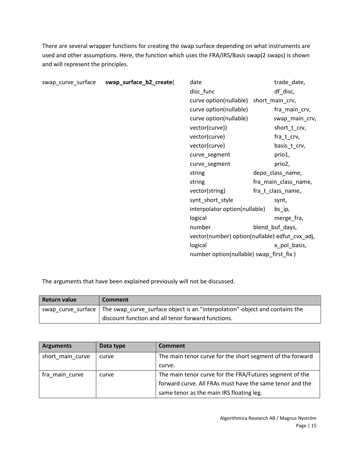There are several wrapper functions for creating the swap surface depending on what instruments are used and other assumptions. Here, the function which uses the FRA/IRS/Basis swap(2 swaps) is shown and will represent the principles.

| swap_curve_surface | swap_surface_b2_create( | date                                           | trade_date,          |
|--------------------|-------------------------|------------------------------------------------|----------------------|
|                    |                         | disc_func                                      | df_disc,             |
|                    |                         | curve option(nullable)                         | short_main_crv,      |
|                    |                         | curve option(nullable)                         | fra_main_crv,        |
|                    |                         | curve option(nullable)                         | swap_main_crv,       |
|                    |                         | vector(curve))                                 | short_t_crv,         |
|                    |                         | vector(curve)                                  | fra_t_crv,           |
|                    |                         | vector(curve)                                  | basis_t_crv,         |
|                    |                         | curve_segment                                  | prio1,               |
|                    |                         | curve_segment                                  | prio2,               |
|                    |                         | string                                         | depo_class_name,     |
|                    |                         | string                                         | fra_main_class_name, |
|                    |                         | vector(string)                                 | fra_t_class_name,    |
|                    |                         | synt_short_style                               | synt,                |
|                    |                         | interpolator option(nullable)                  | bs_ip,               |
|                    |                         | logical                                        | merge fra,           |
|                    |                         | number                                         | blend_buf_days,      |
|                    |                         | vector(number) option(nullable) edfut_cvx_adj, |                      |
|                    |                         | logical                                        | x pol basis,         |
|                    |                         | number option(nullable) swap_first_fix)        |                      |

The arguments that have been explained previously will not be discussed.

| Return value | <b>Comment</b>                                                                                   |
|--------------|--------------------------------------------------------------------------------------------------|
|              | swap curve surface   The swap curve surface object is an "interpolation"-object and contains the |
|              | discount function and all tenor forward functions.                                               |

| <b>Arguments</b> | Data type | <b>Comment</b>                                            |
|------------------|-----------|-----------------------------------------------------------|
| short_main_curve | curve     | The main tenor curve for the short segment of the forward |
|                  |           | curve.                                                    |
| fra main curve   | curve     | The main tenor curve for the FRA/Futures segment of the   |
|                  |           | forward curve. All FRAs must have the same tenor and the  |
|                  |           | same tenor as the main IRS floating leg.                  |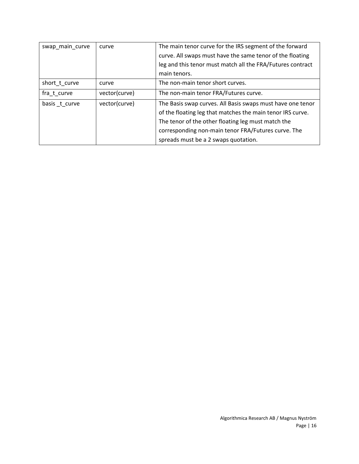| swap_main_curve | curve         | The main tenor curve for the IRS segment of the forward    |
|-----------------|---------------|------------------------------------------------------------|
|                 |               | curve. All swaps must have the same tenor of the floating  |
|                 |               | leg and this tenor must match all the FRA/Futures contract |
|                 |               | main tenors.                                               |
| short t curve   | curve         | The non-main tenor short curves.                           |
| fra t curve     | vector(curve) | The non-main tenor FRA/Futures curve.                      |
| basis t curve   | vector(curve) | The Basis swap curves. All Basis swaps must have one tenor |
|                 |               | of the floating leg that matches the main tenor IRS curve. |
|                 |               | The tenor of the other floating leg must match the         |
|                 |               | corresponding non-main tenor FRA/Futures curve. The        |
|                 |               | spreads must be a 2 swaps quotation.                       |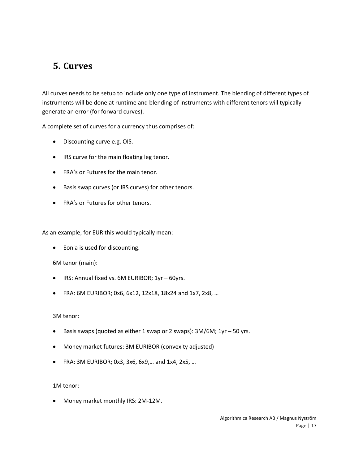## **5. Curves**

All curves needs to be setup to include only one type of instrument. The blending of different types of instruments will be done at runtime and blending of instruments with different tenors will typically generate an error (for forward curves).

A complete set of curves for a currency thus comprises of:

- Discounting curve e.g. OIS.
- IRS curve for the main floating leg tenor.
- FRA's or Futures for the main tenor.
- Basis swap curves (or IRS curves) for other tenors.
- FRA's or Futures for other tenors.

As an example, for EUR this would typically mean:

Eonia is used for discounting.

6M tenor (main):

- IRS: Annual fixed vs. 6M EURIBOR; 1yr 60yrs.
- FRA: 6M EURIBOR; 0x6, 6x12, 12x18, 18x24 and 1x7, 2x8, …

3M tenor:

- Basis swaps (quoted as either 1 swap or 2 swaps): 3M/6M; 1yr 50 yrs.
- Money market futures: 3M EURIBOR (convexity adjusted)
- FRA: 3M EURIBOR; 0x3, 3x6, 6x9,… and 1x4, 2x5, …

1M tenor:

Money market monthly IRS: 2M-12M.